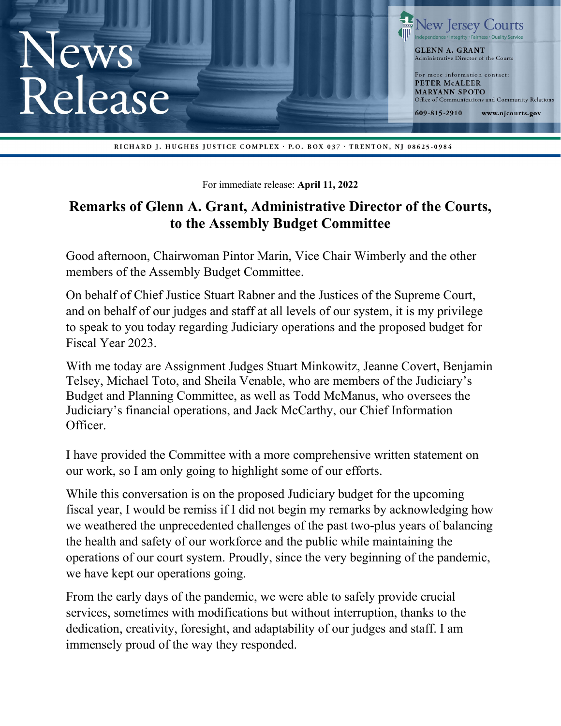

RICHARD J. HUGHES JUSTICE COMPLEX · P.O. BOX 037 · TRENTON, NJ 08625-0984

For immediate release: **April 11, 2022** 

## **Remarks of Glenn A. Grant, Administrative Director of the Courts, to the Assembly Budget Committee**

Good afternoon, Chairwoman Pintor Marin, Vice Chair Wimberly and the other members of the Assembly Budget Committee.

On behalf of Chief Justice Stuart Rabner and the Justices of the Supreme Court, and on behalf of our judges and staff at all levels of our system, it is my privilege to speak to you today regarding Judiciary operations and the proposed budget for Fiscal Year 2023.

With me today are Assignment Judges Stuart Minkowitz, Jeanne Covert, Benjamin Telsey, Michael Toto, and Sheila Venable, who are members of the Judiciary's Budget and Planning Committee, as well as Todd McManus, who oversees the Judiciary's financial operations, and Jack McCarthy, our Chief Information Officer.

I have provided the Committee with a more comprehensive written statement on our work, so I am only going to highlight some of our efforts.

While this conversation is on the proposed Judiciary budget for the upcoming fiscal year, I would be remiss if I did not begin my remarks by acknowledging how we weathered the unprecedented challenges of the past two-plus years of balancing the health and safety of our workforce and the public while maintaining the operations of our court system. Proudly, since the very beginning of the pandemic, we have kept our operations going.

From the early days of the pandemic, we were able to safely provide crucial services, sometimes with modifications but without interruption, thanks to the dedication, creativity, foresight, and adaptability of our judges and staff. I am immensely proud of the way they responded.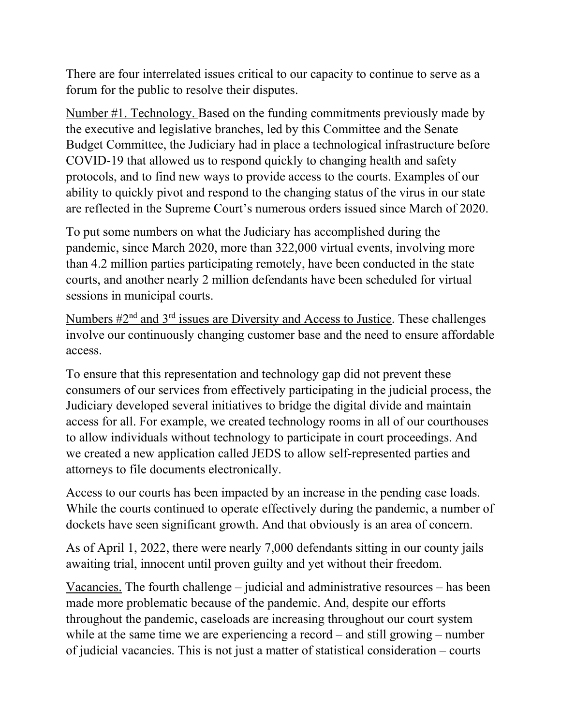There are four interrelated issues critical to our capacity to continue to serve as a forum for the public to resolve their disputes.

Number #1. Technology. Based on the funding commitments previously made by the executive and legislative branches, led by this Committee and the Senate Budget Committee, the Judiciary had in place a technological infrastructure before COVID-19 that allowed us to respond quickly to changing health and safety protocols, and to find new ways to provide access to the courts. Examples of our ability to quickly pivot and respond to the changing status of the virus in our state are reflected in the Supreme Court's numerous orders issued since March of 2020.

To put some numbers on what the Judiciary has accomplished during the pandemic, since March 2020, more than 322,000 virtual events, involving more than 4.2 million parties participating remotely, have been conducted in the state courts, and another nearly 2 million defendants have been scheduled for virtual sessions in municipal courts.

Numbers  $#2<sup>nd</sup>$  and  $3<sup>rd</sup>$  issues are Diversity and Access to Justice. These challenges involve our continuously changing customer base and the need to ensure affordable access.

To ensure that this representation and technology gap did not prevent these consumers of our services from effectively participating in the judicial process, the Judiciary developed several initiatives to bridge the digital divide and maintain access for all. For example, we created technology rooms in all of our courthouses to allow individuals without technology to participate in court proceedings. And we created a new application called JEDS to allow self-represented parties and attorneys to file documents electronically.

Access to our courts has been impacted by an increase in the pending case loads. While the courts continued to operate effectively during the pandemic, a number of dockets have seen significant growth. And that obviously is an area of concern.

As of April 1, 2022, there were nearly 7,000 defendants sitting in our county jails awaiting trial, innocent until proven guilty and yet without their freedom.

Vacancies. The fourth challenge – judicial and administrative resources – has been made more problematic because of the pandemic. And, despite our efforts throughout the pandemic, caseloads are increasing throughout our court system while at the same time we are experiencing a record – and still growing – number of judicial vacancies. This is not just a matter of statistical consideration – courts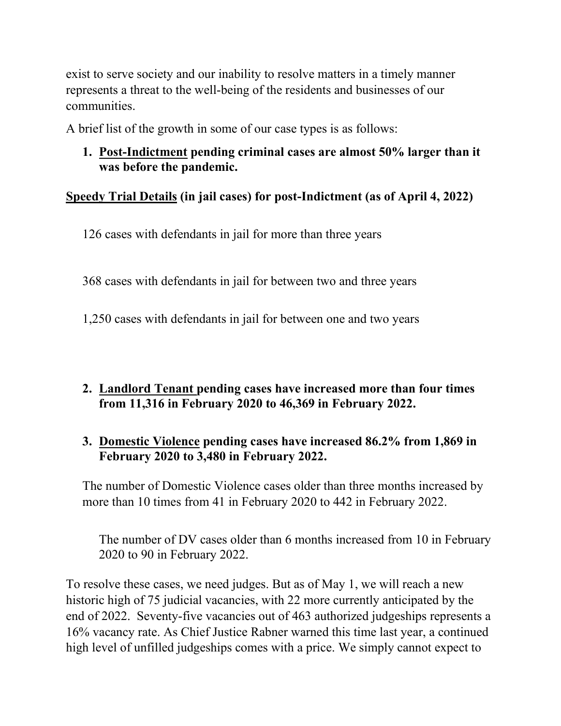exist to serve society and our inability to resolve matters in a timely manner represents a threat to the well-being of the residents and businesses of our communities.

A brief list of the growth in some of our case types is as follows:

**1. Post-Indictment pending criminal cases are almost 50% larger than it was before the pandemic.** 

## **Speedy Trial Details (in jail cases) for post-Indictment (as of April 4, 2022)**

126 cases with defendants in jail for more than three years

368 cases with defendants in jail for between two and three years

1,250 cases with defendants in jail for between one and two years

## **2. Landlord Tenant pending cases have increased more than four times from 11,316 in February 2020 to 46,369 in February 2022.**

## **3. Domestic Violence pending cases have increased 86.2% from 1,869 in February 2020 to 3,480 in February 2022.**

The number of Domestic Violence cases older than three months increased by more than 10 times from 41 in February 2020 to 442 in February 2022.

The number of DV cases older than 6 months increased from 10 in February 2020 to 90 in February 2022.

To resolve these cases, we need judges. But as of May 1, we will reach a new historic high of 75 judicial vacancies, with 22 more currently anticipated by the end of 2022. Seventy-five vacancies out of 463 authorized judgeships represents a 16% vacancy rate. As Chief Justice Rabner warned this time last year, a continued high level of unfilled judgeships comes with a price. We simply cannot expect to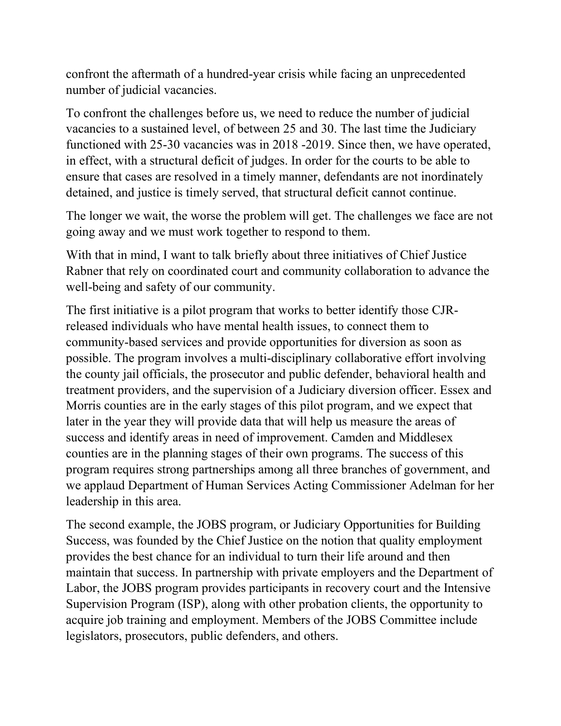confront the aftermath of a hundred-year crisis while facing an unprecedented number of judicial vacancies.

To confront the challenges before us, we need to reduce the number of judicial vacancies to a sustained level, of between 25 and 30. The last time the Judiciary functioned with 25-30 vacancies was in 2018 -2019. Since then, we have operated, in effect, with a structural deficit of judges. In order for the courts to be able to ensure that cases are resolved in a timely manner, defendants are not inordinately detained, and justice is timely served, that structural deficit cannot continue.

The longer we wait, the worse the problem will get. The challenges we face are not going away and we must work together to respond to them.

With that in mind, I want to talk briefly about three initiatives of Chief Justice Rabner that rely on coordinated court and community collaboration to advance the well-being and safety of our community.

The first initiative is a pilot program that works to better identify those CJRreleased individuals who have mental health issues, to connect them to community-based services and provide opportunities for diversion as soon as possible. The program involves a multi-disciplinary collaborative effort involving the county jail officials, the prosecutor and public defender, behavioral health and treatment providers, and the supervision of a Judiciary diversion officer. Essex and Morris counties are in the early stages of this pilot program, and we expect that later in the year they will provide data that will help us measure the areas of success and identify areas in need of improvement. Camden and Middlesex counties are in the planning stages of their own programs. The success of this program requires strong partnerships among all three branches of government, and we applaud Department of Human Services Acting Commissioner Adelman for her leadership in this area.

The second example, the JOBS program, or Judiciary Opportunities for Building Success, was founded by the Chief Justice on the notion that quality employment provides the best chance for an individual to turn their life around and then maintain that success. In partnership with private employers and the Department of Labor, the JOBS program provides participants in recovery court and the Intensive Supervision Program (ISP), along with other probation clients, the opportunity to acquire job training and employment. Members of the JOBS Committee include legislators, prosecutors, public defenders, and others.